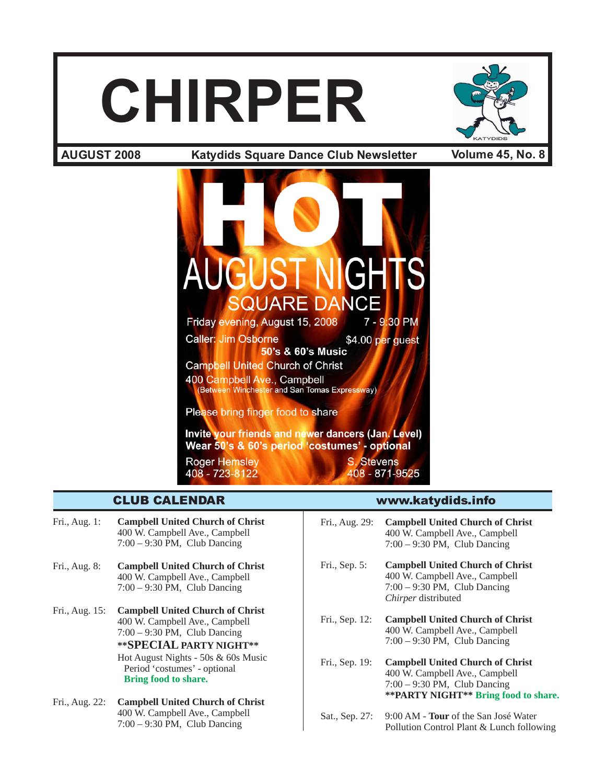# **CHIRPER**



**Katydids Square Dance Club Newsletter AUGUST 2008 Volume 45, No. 8**



- Fri., Aug. 1: **Campbell United Church of Christ** 400 W. Campbell Ave., Campbell 7:00 – 9:30 PM, Club Dancing
- Fri., Aug. 8: **Campbell United Church of Christ** 400 W. Campbell Ave., Campbell 7:00 – 9:30 PM, Club Dancing
- Fri., Aug. 15: **Campbell United Church of Christ** 400 W. Campbell Ave., Campbell 7:00 – 9:30 PM, Club Dancing **\*\*SPECIAL PARTY NIGHT\*\***

Hot August Nights - 50s & 60s Music Period 'costumes' - optional **Bring food to share.**

Fri., Aug. 22: **Campbell United Church of Christ** 400 W. Campbell Ave., Campbell 7:00 – 9:30 PM, Club Dancing

# CLUB CALENDAR www.katydids.info

- Fri., Aug. 29: **Campbell United Church of Christ** 400 W. Campbell Ave., Campbell 7:00 – 9:30 PM, Club Dancing
- Fri., Sep. 5: **Campbell United Church of Christ** 400 W. Campbell Ave., Campbell 7:00 – 9:30 PM, Club Dancing *Chirper* distributed
- Fri., Sep. 12: **Campbell United Church of Christ** 400 W. Campbell Ave., Campbell 7:00 – 9:30 PM, Club Dancing
- Fri., Sep. 19: **Campbell United Church of Christ** 400 W. Campbell Ave., Campbell 7:00 – 9:30 PM, Club Dancing **\*\*PARTY NIGHT\*\* Bring food to share.**
- Sat., Sep. 27: 9:00 AM **Tour** of the San José Water Pollution Control Plant & Lunch following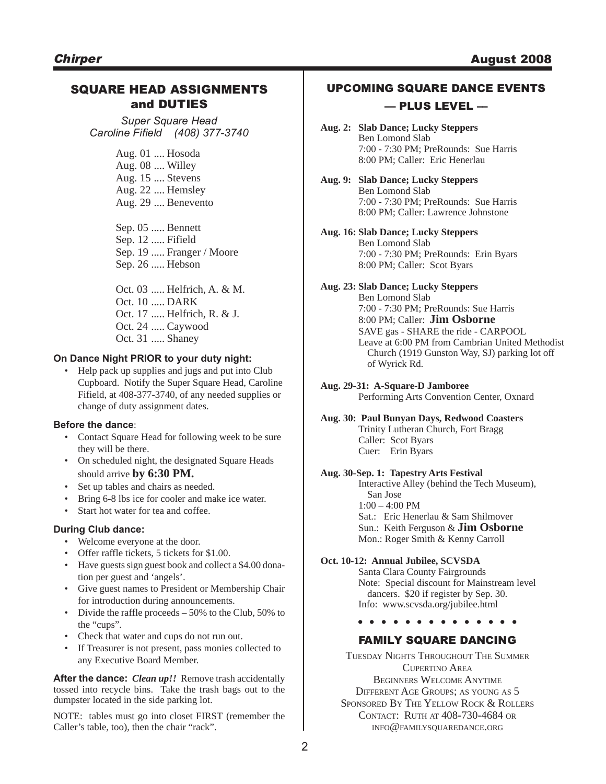# SQUARE HEAD ASSIGNMENTS and DUTIES

*Super Square Head Caroline Fifield (408) 377-3740*

> Aug. 01 .... Hosoda Aug. 08 .... Willey Aug. 15 .... Stevens Aug. 22 .... Hemsley Aug. 29 .... Benevento

Sep. 05 ..... Bennett Sep. 12 ..... Fifield Sep. 19 ..... Franger / Moore Sep. 26 ..... Hebson

Oct. 03 ..... Helfrich, A. & M. Oct. 10 ..... DARK Oct. 17 ..... Helfrich, R. & J. Oct. 24 ..... Caywood

Oct. 31 ..... Shaney

# **On Dance Night PRIOR to your duty night:**

• Help pack up supplies and jugs and put into Club Cupboard. Notify the Super Square Head, Caroline Fifield, at 408-377-3740, of any needed supplies or change of duty assignment dates.

# **Before the dance**:

- Contact Square Head for following week to be sure they will be there.
- On scheduled night, the designated Square Heads should arrive **by 6:30 PM.**
- Set up tables and chairs as needed.
- Bring 6-8 lbs ice for cooler and make ice water.
- Start hot water for tea and coffee.

# **During Club dance:**

- Welcome everyone at the door.
- Offer raffle tickets, 5 tickets for \$1.00.
- Have guests sign guest book and collect a \$4.00 donation per guest and 'angels'.
- Give guest names to President or Membership Chair for introduction during announcements.
- Divide the raffle proceeds 50% to the Club, 50% to the "cups".
- Check that water and cups do not run out.
- If Treasurer is not present, pass monies collected to any Executive Board Member.

**After the dance:** *Clean up!!* Remove trash accidentally tossed into recycle bins. Take the trash bags out to the dumpster located in the side parking lot.

NOTE: tables must go into closet FIRST (remember the Caller's table, too), then the chair "rack".

# UPCOMING SQUARE DANCE EVENTS

# –– PLUS LEVEL ––

- **Aug. 2: Slab Dance; Lucky Steppers** Ben Lomond Slab 7:00 - 7:30 PM; PreRounds: Sue Harris 8:00 PM; Caller: Eric Henerlau
- **Aug. 9: Slab Dance; Lucky Steppers** Ben Lomond Slab 7:00 - 7:30 PM; PreRounds: Sue Harris 8:00 PM; Caller: Lawrence Johnstone
- **Aug. 16: Slab Dance; Lucky Steppers** Ben Lomond Slab 7:00 - 7:30 PM; PreRounds: Erin Byars 8:00 PM; Caller: Scot Byars
- **Aug. 23: Slab Dance; Lucky Steppers**
	- Ben Lomond Slab 7:00 - 7:30 PM; PreRounds: Sue Harris 8:00 PM; Caller: **Jim Osborne** SAVE gas - SHARE the ride - CARPOOL Leave at 6:00 PM from Cambrian United Methodist Church (1919 Gunston Way, SJ) parking lot off of Wyrick Rd.

## **Aug. 29-31: A-Square-D Jamboree**

Performing Arts Convention Center, Oxnard

**Aug. 30: Paul Bunyan Days, Redwood Coasters** Trinity Lutheran Church, Fort Bragg Caller: Scot Byars Cuer: Erin Byars

# **Aug. 30-Sep. 1: Tapestry Arts Festival**

Interactive Alley (behind the Tech Museum), San Jose  $1:00 - 4:00 \text{ PM}$ Sat.: Eric Henerlau & Sam Shilmover Sun.: Keith Ferguson & **Jim Osborne**

Mon.: Roger Smith & Kenny Carroll

# **Oct. 10-12: Annual Jubilee, SCVSDA**

Santa Clara County Fairgrounds Note: Special discount for Mainstream level dancers. \$20 if register by Sep. 30. Info: www.scvsda.org/jubilee.html

**. . . . . . . . . . . . . .**

# FAMILY SQUARE DANCING

TUESDAY NIGHTS THROUGHOUT THE SUMMER CUPERTINO AREA BEGINNERS WELCOME ANYTIME DIFFERENT AGE GROUPS; AS YOUNG AS 5 SPONSORED BY THE YELLOW ROCK & ROLLERS CONTACT: RUTH AT 408-730-4684 OR INFO@FAMILYSQUAREDANCE.ORG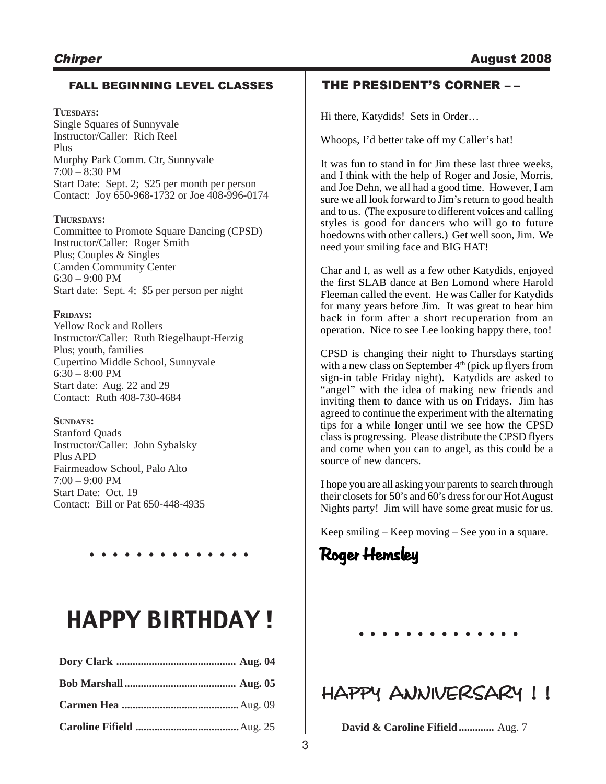# FALL BEGINNING LEVEL CLASSES

**TUESDAYS:** Single Squares of Sunnyvale Instructor/Caller: Rich Reel Plus Murphy Park Comm. Ctr, Sunnyvale 7:00 – 8:30 PM Start Date: Sept. 2; \$25 per month per person Contact: Joy 650-968-1732 or Joe 408-996-0174

## **THURSDAYS:**

Committee to Promote Square Dancing (CPSD) Instructor/Caller: Roger Smith Plus; Couples & Singles Camden Community Center 6:30 – 9:00 PM Start date: Sept. 4; \$5 per person per night

## **FRIDAYS:**

Yellow Rock and Rollers Instructor/Caller: Ruth Riegelhaupt-Herzig Plus; youth, families Cupertino Middle School, Sunnyvale  $6:30 - 8:00$  PM Start date: Aug. 22 and 29 Contact: Ruth 408-730-4684

# **SUNDAYS:**

Stanford Quads Instructor/Caller: John Sybalsky Plus APD Fairmeadow School, Palo Alto 7:00 – 9:00 PM Start Date: Oct. 19 Contact: Bill or Pat 650-448-4935

**. . . . . . . . . . . . . .**

# **HAPPY BIRTHDAY!**

# THE PRESIDENT'S CORNER – –

Hi there, Katydids! Sets in Order…

Whoops, I'd better take off my Caller's hat!

It was fun to stand in for Jim these last three weeks, and I think with the help of Roger and Josie, Morris, and Joe Dehn, we all had a good time. However, I am sure we all look forward to Jim's return to good health and to us. (The exposure to different voices and calling styles is good for dancers who will go to future hoedowns with other callers.) Get well soon, Jim. We need your smiling face and BIG HAT!

Char and I, as well as a few other Katydids, enjoyed the first SLAB dance at Ben Lomond where Harold Fleeman called the event. He was Caller for Katydids for many years before Jim. It was great to hear him back in form after a short recuperation from an operation. Nice to see Lee looking happy there, too!

CPSD is changing their night to Thursdays starting with a new class on September  $4<sup>th</sup>$  (pick up flyers from sign-in table Friday night). Katydids are asked to "angel" with the idea of making new friends and inviting them to dance with us on Fridays. Jim has agreed to continue the experiment with the alternating tips for a while longer until we see how the CPSD class is progressing. Please distribute the CPSD flyers and come when you can to angel, as this could be a source of new dancers.

I hope you are all asking your parents to search through their closets for 50's and 60's dress for our Hot August Nights party! Jim will have some great music for us.

Keep smiling – Keep moving – See you in a square.

Roger Hemsley

HAPPY ANNIVERSARY !!

**David & Caroline Fifield .............** Aug. 7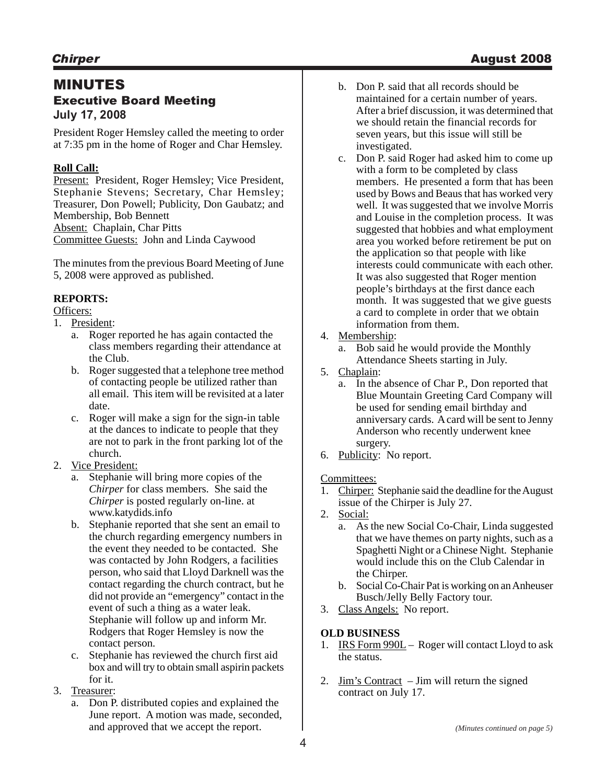# MINUTES Executive Board Meeting **July 17, 2008**

President Roger Hemsley called the meeting to order at 7:35 pm in the home of Roger and Char Hemsley.

# **Roll Call:**

Present: President, Roger Hemsley; Vice President, Stephanie Stevens; Secretary, Char Hemsley; Treasurer, Don Powell; Publicity, Don Gaubatz; and Membership, Bob Bennett Absent: Chaplain, Char Pitts Committee Guests: John and Linda Caywood

The minutes from the previous Board Meeting of June 5, 2008 were approved as published.

# **REPORTS:**

Officers:

- 1. President:
	- a. Roger reported he has again contacted the class members regarding their attendance at the Club.
	- b. Roger suggested that a telephone tree method of contacting people be utilized rather than all email. This item will be revisited at a later date.
	- c. Roger will make a sign for the sign-in table at the dances to indicate to people that they are not to park in the front parking lot of the church.
- 2. Vice President:
	- a. Stephanie will bring more copies of the *Chirper* for class members. She said the *Chirper* is posted regularly on-line. at www.katydids.info
	- b. Stephanie reported that she sent an email to the church regarding emergency numbers in the event they needed to be contacted. She was contacted by John Rodgers, a facilities person, who said that Lloyd Darknell was the contact regarding the church contract, but he did not provide an "emergency" contact in the event of such a thing as a water leak. Stephanie will follow up and inform Mr. Rodgers that Roger Hemsley is now the contact person.
	- c. Stephanie has reviewed the church first aid box and will try to obtain small aspirin packets for it.
- 3. Treasurer:
	- a. Don P. distributed copies and explained the June report. A motion was made, seconded, and approved that we accept the report.
- b. Don P. said that all records should be maintained for a certain number of years. After a brief discussion, it was determined that we should retain the financial records for seven years, but this issue will still be investigated.
- c. Don P. said Roger had asked him to come up with a form to be completed by class members. He presented a form that has been used by Bows and Beaus that has worked very well. It was suggested that we involve Morris and Louise in the completion process. It was suggested that hobbies and what employment area you worked before retirement be put on the application so that people with like interests could communicate with each other. It was also suggested that Roger mention people's birthdays at the first dance each month. It was suggested that we give guests a card to complete in order that we obtain information from them.
- 4. Membership:
	- a. Bob said he would provide the Monthly Attendance Sheets starting in July.
- 5. Chaplain:
	- a. In the absence of Char P., Don reported that Blue Mountain Greeting Card Company will be used for sending email birthday and anniversary cards. A card will be sent to Jenny Anderson who recently underwent knee surgery.
- 6. Publicity: No report.

# Committees:

- 1. Chirper: Stephanie said the deadline for the August issue of the Chirper is July 27.
- 2. Social:
	- a. As the new Social Co-Chair, Linda suggested that we have themes on party nights, such as a Spaghetti Night or a Chinese Night. Stephanie would include this on the Club Calendar in the Chirper.
	- b. Social Co-Chair Pat is working on an Anheuser Busch/Jelly Belly Factory tour.
- 3. Class Angels: No report.

# **OLD BUSINESS**

- 1. IRS Form 990L Roger will contact Lloyd to ask the status.
- 2. Jim's Contract Jim will return the signed contract on July 17.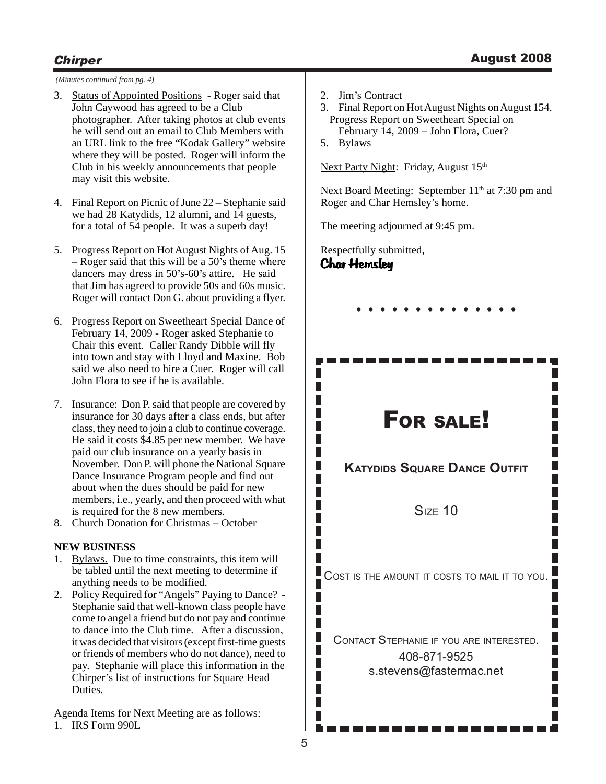# **Chirper** August 2008

*(Minutes continued from pg. 4)*

- 3. Status of Appointed Positions Roger said that John Caywood has agreed to be a Club photographer. After taking photos at club events he will send out an email to Club Members with an URL link to the free "Kodak Gallery" website where they will be posted. Roger will inform the Club in his weekly announcements that people may visit this website.
- 4. Final Report on Picnic of June 22 Stephanie said we had 28 Katydids, 12 alumni, and 14 guests, for a total of 54 people. It was a superb day!
- 5. Progress Report on Hot August Nights of Aug. 15 – Roger said that this will be a 50's theme where dancers may dress in 50's-60's attire. He said that Jim has agreed to provide 50s and 60s music. Roger will contact Don G. about providing a flyer.
- 6. Progress Report on Sweetheart Special Dance of February 14, 2009 - Roger asked Stephanie to Chair this event. Caller Randy Dibble will fly into town and stay with Lloyd and Maxine. Bob said we also need to hire a Cuer. Roger will call John Flora to see if he is available.
- 7. Insurance: Don P. said that people are covered by insurance for 30 days after a class ends, but after class, they need to join a club to continue coverage. He said it costs \$4.85 per new member. We have paid our club insurance on a yearly basis in November. Don P. will phone the National Square Dance Insurance Program people and find out about when the dues should be paid for new members, i.e., yearly, and then proceed with what is required for the 8 new members.
- 8. Church Donation for Christmas October

# **NEW BUSINESS**

- 1. Bylaws. Due to time constraints, this item will be tabled until the next meeting to determine if anything needs to be modified.
- 2. Policy Required for "Angels" Paying to Dance? -Stephanie said that well-known class people have come to angel a friend but do not pay and continue to dance into the Club time. After a discussion, it was decided that visitors (except first-time guests or friends of members who do not dance), need to pay. Stephanie will place this information in the Chirper's list of instructions for Square Head Duties.

Agenda Items for Next Meeting are as follows:

1. IRS Form 990L

- 2. Jim's Contract
- 3. Final Report on Hot August Nights on August 154. Progress Report on Sweetheart Special on
- February 14, 2009 John Flora, Cuer?
- 5. Bylaws

Next Party Night: Friday, August 15<sup>th</sup>

Next Board Meeting: September 11<sup>th</sup> at 7:30 pm and Roger and Char Hemsley's home.

The meeting adjourned at 9:45 pm.

Char Hemsley Respectfully submitted,

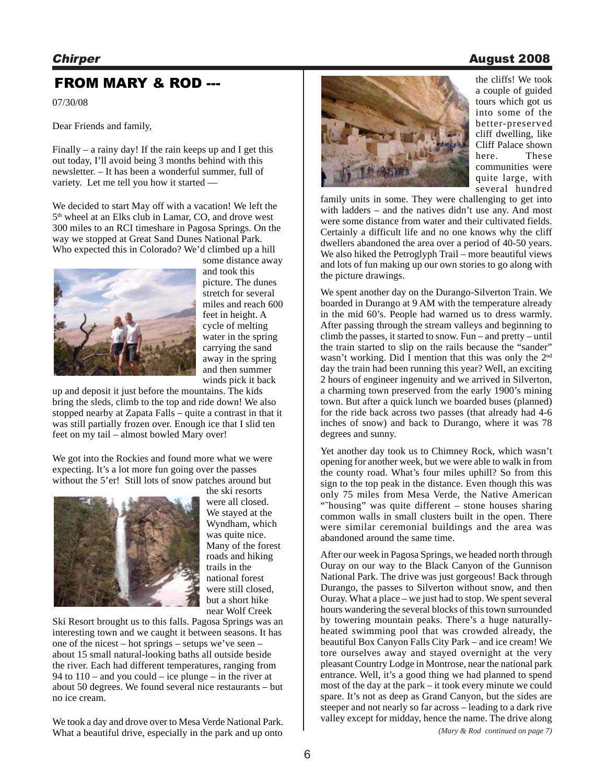# FROM MARY & ROD --- the cliffs! We took

07/30/08

Dear Friends and family,

Finally – a rainy day! If the rain keeps up and I get this out today, I'll avoid being 3 months behind with this newsletter. – It has been a wonderful summer, full of variety. Let me tell you how it started —

We decided to start May off with a vacation! We left the 5<sup>th</sup> wheel at an Elks club in Lamar, CO, and drove west 300 miles to an RCI timeshare in Pagosa Springs. On the way we stopped at Great Sand Dunes National Park. Who expected this in Colorado? We'd climbed up a hill



some distance away and took this picture. The dunes stretch for several miles and reach 600 feet in height. A cycle of melting water in the spring carrying the sand away in the spring and then summer winds pick it back

up and deposit it just before the mountains. The kids bring the sleds, climb to the top and ride down! We also stopped nearby at Zapata Falls – quite a contrast in that it was still partially frozen over. Enough ice that I slid ten feet on my tail – almost bowled Mary over!

We got into the Rockies and found more what we were expecting. It's a lot more fun going over the passes without the 5'er! Still lots of snow patches around but



the ski resorts were all closed. We stayed at the Wyndham, which was quite nice. Many of the forest roads and hiking trails in the national forest were still closed, but a short hike near Wolf Creek

Ski Resort brought us to this falls. Pagosa Springs was an interesting town and we caught it between seasons. It has one of the nicest – hot springs – setups we've seen – about 15 small natural-looking baths all outside beside the river. Each had different temperatures, ranging from 94 to  $110$  – and you could – ice plunge – in the river at about 50 degrees. We found several nice restaurants – but no ice cream.

We took a day and drove over to Mesa Verde National Park. What a beautiful drive, especially in the park and up onto *lack and mage 7 (Mary & Rod continued on page 7)* 



a couple of guided tours which got us into some of the better-preserved cliff dwelling, like Cliff Palace shown here. These communities were quite large, with several hundred

family units in some. They were challenging to get into with ladders – and the natives didn't use any. And most were some distance from water and their cultivated fields. Certainly a difficult life and no one knows why the cliff dwellers abandoned the area over a period of 40-50 years. We also hiked the Petroglyph Trail – more beautiful views and lots of fun making up our own stories to go along with the picture drawings.

We spent another day on the Durango-Silverton Train. We boarded in Durango at 9 AM with the temperature already in the mid 60's. People had warned us to dress warmly. After passing through the stream valleys and beginning to climb the passes, it started to snow. Fun – and pretty – until the train started to slip on the rails because the "sander" wasn't working. Did I mention that this was only the 2<sup>nd</sup> day the train had been running this year? Well, an exciting 2 hours of engineer ingenuity and we arrived in Silverton, a charming town preserved from the early 1900's mining town. But after a quick lunch we boarded buses (planned) for the ride back across two passes (that already had 4-6 inches of snow) and back to Durango, where it was 78 degrees and sunny.

Yet another day took us to Chimney Rock, which wasn't opening for another week, but we were able to walk in from the county road. What's four miles uphill? So from this sign to the top peak in the distance. Even though this was only 75 miles from Mesa Verde, the Native American "˜housing" was quite different – stone houses sharing common walls in small clusters built in the open. There were similar ceremonial buildings and the area was abandoned around the same time.

After our week in Pagosa Springs, we headed north through Ouray on our way to the Black Canyon of the Gunnison National Park. The drive was just gorgeous! Back through Durango, the passes to Silverton without snow, and then Ouray. What a place – we just had to stop. We spent several hours wandering the several blocks of this town surrounded by towering mountain peaks. There's a huge naturallyheated swimming pool that was crowded already, the beautiful Box Canyon Falls City Park – and ice cream! We tore ourselves away and stayed overnight at the very pleasant Country Lodge in Montrose, near the national park entrance. Well, it's a good thing we had planned to spend most of the day at the park – it took every minute we could spare. It's not as deep as Grand Canyon, but the sides are steeper and not nearly so far across – leading to a dark rive valley except for midday, hence the name. The drive along

# Chirper August 2008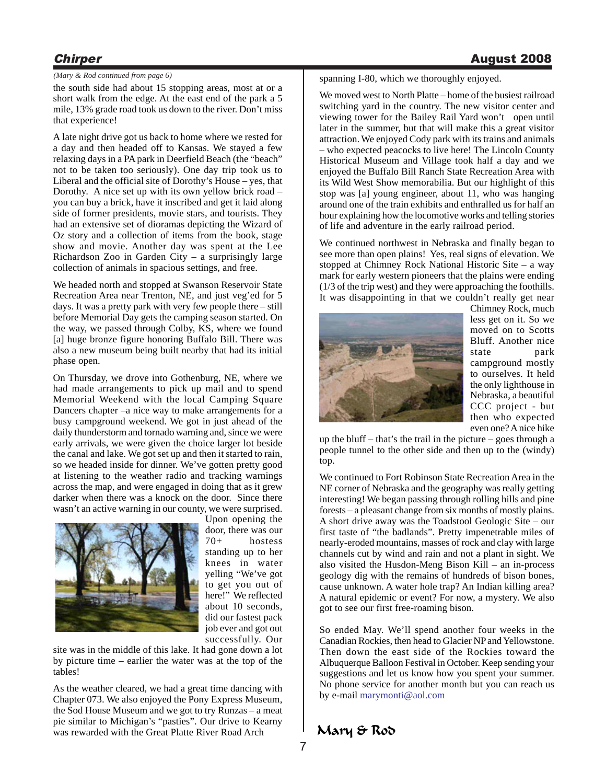## *(Mary & Rod continued from page 6)*

the south side had about 15 stopping areas, most at or a short walk from the edge. At the east end of the park a 5 mile, 13% grade road took us down to the river. Don't miss that experience!

A late night drive got us back to home where we rested for a day and then headed off to Kansas. We stayed a few relaxing days in a PA park in Deerfield Beach (the "beach" not to be taken too seriously). One day trip took us to Liberal and the official site of Dorothy's House – yes, that Dorothy. A nice set up with its own yellow brick road – you can buy a brick, have it inscribed and get it laid along side of former presidents, movie stars, and tourists. They had an extensive set of dioramas depicting the Wizard of Oz story and a collection of items from the book, stage show and movie. Another day was spent at the Lee Richardson Zoo in Garden City – a surprisingly large collection of animals in spacious settings, and free.

We headed north and stopped at Swanson Reservoir State Recreation Area near Trenton, NE, and just veg'ed for 5 days. It was a pretty park with very few people there – still before Memorial Day gets the camping season started. On the way, we passed through Colby, KS, where we found [a] huge bronze figure honoring Buffalo Bill. There was also a new museum being built nearby that had its initial phase open.

On Thursday, we drove into Gothenburg, NE, where we had made arrangements to pick up mail and to spend Memorial Weekend with the local Camping Square Dancers chapter –a nice way to make arrangements for a busy campground weekend. We got in just ahead of the daily thunderstorm and tornado warning and, since we were early arrivals, we were given the choice larger lot beside the canal and lake. We got set up and then it started to rain, so we headed inside for dinner. We've gotten pretty good at listening to the weather radio and tracking warnings across the map, and were engaged in doing that as it grew darker when there was a knock on the door. Since there wasn't an active warning in our county, we were surprised.



Upon opening the door, there was our 70+ hostess standing up to her knees in water yelling "We've got to get you out of here!" We reflected about 10 seconds, did our fastest pack job ever and got out successfully. Our

site was in the middle of this lake. It had gone down a lot by picture time – earlier the water was at the top of the tables!

As the weather cleared, we had a great time dancing with Chapter 073. We also enjoyed the Pony Express Museum, the Sod House Museum and we got to try Runzas – a meat pie similar to Michigan's "pasties". Our drive to Kearny was rewarded with the Great Platte River Road Arch

spanning I-80, which we thoroughly enjoyed.

We moved west to North Platte – home of the busiest railroad switching yard in the country. The new visitor center and viewing tower for the Bailey Rail Yard won't open until later in the summer, but that will make this a great visitor attraction. We enjoyed Cody park with its trains and animals – who expected peacocks to live here! The Lincoln County Historical Museum and Village took half a day and we enjoyed the Buffalo Bill Ranch State Recreation Area with its Wild West Show memorabilia. But our highlight of this stop was [a] young engineer, about 11, who was hanging around one of the train exhibits and enthralled us for half an hour explaining how the locomotive works and telling stories of life and adventure in the early railroad period.

We continued northwest in Nebraska and finally began to see more than open plains! Yes, real signs of elevation. We stopped at Chimney Rock National Historic Site – a way mark for early western pioneers that the plains were ending (1/3 of the trip west) and they were approaching the foothills. It was disappointing in that we couldn't really get near



Chimney Rock, much less get on it. So we moved on to Scotts Bluff. Another nice state park campground mostly to ourselves. It held the only lighthouse in Nebraska, a beautiful CCC project - but then who expected even one? A nice hike

up the bluff – that's the trail in the picture – goes through a people tunnel to the other side and then up to the (windy) top.

We continued to Fort Robinson State Recreation Area in the NE corner of Nebraska and the geography was really getting interesting! We began passing through rolling hills and pine forests – a pleasant change from six months of mostly plains. A short drive away was the Toadstool Geologic Site – our first taste of "the badlands". Pretty impenetrable miles of nearly-eroded mountains, masses of rock and clay with large channels cut by wind and rain and not a plant in sight. We also visited the Husdon-Meng Bison Kill – an in-process geology dig with the remains of hundreds of bison bones, cause unknown. A water hole trap? An Indian killing area? A natural epidemic or event? For now, a mystery. We also got to see our first free-roaming bison.

So ended May. We'll spend another four weeks in the Canadian Rockies, then head to Glacier NP and Yellowstone. Then down the east side of the Rockies toward the Albuquerque Balloon Festival in October. Keep sending your suggestions and let us know how you spent your summer. No phone service for another month but you can reach us by e-mail marymonti@aol.com

# Mary & Rod